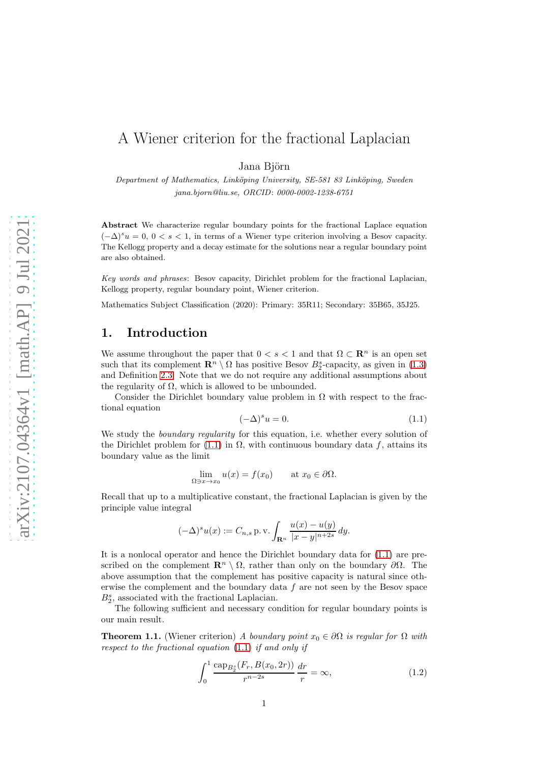# A Wiener criterion for the fractional Laplacian

Jana Biörn

Department of Mathematics, Linköping University, SE-581 83 Linköping, Sweden jana.bjorn@liu.se, ORCID: 0000-0002-1238-6751

Abstract We characterize regular boundary points for the fractional Laplace equation  $(-\Delta)^s u = 0, 0 < s < 1$ , in terms of a Wiener type criterion involving a Besov capacity. The Kellogg property and a decay estimate for the solutions near a regular boundary point are also obtained.

Key words and phrases: Besov capacity, Dirichlet problem for the fractional Laplacian, Kellogg property, regular boundary point, Wiener criterion.

Mathematics Subject Classification (2020): Primary: 35R11; Secondary: 35B65, 35J25.

# 1. Introduction

We assume throughout the paper that  $0 < s < 1$  and that  $\Omega \subset \mathbb{R}^n$  is an open set such that its complement  $\mathbb{R}^n \setminus \Omega$  has positive Besov  $B_2^s$ -capacity, as given in [\(1.3\)](#page-1-0) and Definition [2.3.](#page-5-0) Note that we do not require any additional assumptions about the regularity of  $\Omega$ , which is allowed to be unbounded.

Consider the Dirichlet boundary value problem in  $\Omega$  with respect to the fractional equation

<span id="page-0-0"></span>
$$
(-\Delta)^s u = 0.\t(1.1)
$$

We study the *boundary regularity* for this equation, i.e. whether every solution of the Dirichlet problem for [\(1.1\)](#page-0-0) in  $\Omega$ , with continuous boundary data f, attains its boundary value as the limit

$$
\lim_{\Omega \ni x \to x_0} u(x) = f(x_0) \quad \text{at } x_0 \in \partial \Omega.
$$

Recall that up to a multiplicative constant, the fractional Laplacian is given by the principle value integral

$$
(-\Delta)^s u(x) := C_{n,s} \operatorname{p.v.} \int_{\mathbf{R}^n} \frac{u(x) - u(y)}{|x - y|^{n+2s}} dy.
$$

It is a nonlocal operator and hence the Dirichlet boundary data for [\(1.1\)](#page-0-0) are prescribed on the complement  $\mathbf{R}^n \setminus \Omega$ , rather than only on the boundary  $\partial \Omega$ . The above assumption that the complement has positive capacity is natural since otherwise the complement and the boundary data  $f$  are not seen by the Besov space  $B_2^s$ , associated with the fractional Laplacian.

The following sufficient and necessary condition for regular boundary points is our main result.

<span id="page-0-1"></span>**Theorem 1.1.** (Wiener criterion) A boundary point  $x_0 \in \partial\Omega$  is regular for  $\Omega$  with respect to the fractional equation [\(1.1\)](#page-0-0) if and only if

<span id="page-0-2"></span>
$$
\int_0^1 \frac{\text{cap}_{B_2^s}(F_r, B(x_0, 2r))}{r^{n-2s}} \frac{dr}{r} = \infty,
$$
\n(1.2)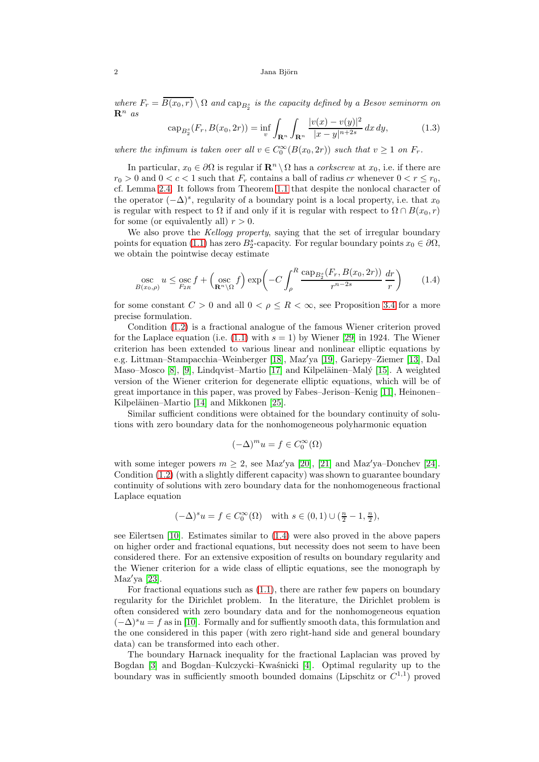where  $F_r = B(x_0, r) \setminus \Omega$  and  $\text{cap}_{B_2^s}$  is the capacity defined by a Besov seminorm on  $\mathbf{R}^n$  as

<span id="page-1-0"></span>
$$
\operatorname{cap}_{B_2^s}(F_r, B(x_0, 2r)) = \inf_v \int_{\mathbf{R}^n} \int_{\mathbf{R}^n} \frac{|v(x) - v(y)|^2}{|x - y|^{n+2s}} dx dy, \tag{1.3}
$$

where the infimum is taken over all  $v \in C_0^{\infty}(B(x_0, 2r))$  such that  $v \ge 1$  on  $F_r$ .

In particular,  $x_0 \in \partial\Omega$  is regular if  $\mathbb{R}^n \setminus \Omega$  has a *corkscrew* at  $x_0$ , i.e. if there are  $r_0 > 0$  and  $0 < c < 1$  such that  $F_r$  contains a ball of radius cr whenever  $0 < r \le r_0$ , cf. Lemma [2.4.](#page-5-1) It follows from Theorem [1.1](#page-0-1) that despite the nonlocal character of the operator  $(-\Delta)^s$ , regularity of a boundary point is a local property, i.e. that  $x_0$ is regular with respect to  $\Omega$  if and only if it is regular with respect to  $\Omega \cap B(x_0, r)$ for some (or equivalently all)  $r > 0$ .

We also prove the Kellogg property, saying that the set of irregular boundary points for equation [\(1.1\)](#page-0-0) has zero  $B_2^s$ -capacity. For regular boundary points  $x_0 \in \partial\Omega$ , we obtain the pointwise decay estimate

<span id="page-1-1"></span>
$$
\underset{B(x_0,\rho)}{\text{osc}} u \le \underset{F_{2R}}{\text{osc}} f + \left(\underset{\mathbf{R}^n \setminus \Omega}{\text{osc}} f\right) \exp\left(-C \int_{\rho}^R \frac{\text{cap}_{B_2^s}(F_r, B(x_0, 2r))}{r^{n-2s}} \frac{dr}{r}\right) \tag{1.4}
$$

for some constant  $C > 0$  and all  $0 < \rho \leq R < \infty$ , see Proposition [3.4](#page-9-0) for a more precise formulation.

Condition [\(1.2\)](#page-0-2) is a fractional analogue of the famous Wiener criterion proved for the Laplace equation (i.e.  $(1.1)$  with  $s = 1$ ) by Wiener [\[29\]](#page-10-0) in 1924. The Wiener criterion has been extended to various linear and nonlinear elliptic equations by e.g. Littman–Stampacchia–Weinberger [\[18\]](#page-10-1), Maz′ya [\[19\]](#page-10-2), Gariepy–Ziemer [\[13\]](#page-10-3), Dal Maso–Mosco [\[8\]](#page-9-1), [\[9\]](#page-10-4), Lindqvist–Martio [\[17\]](#page-10-5) and Kilpeläinen–Malý [\[15\]](#page-10-6). A weighted version of the Wiener criterion for degenerate elliptic equations, which will be of great importance in this paper, was proved by Fabes–Jerison–Kenig [\[11\]](#page-10-7), Heinonen– Kilpeläinen–Martio [\[14\]](#page-10-8) and Mikkonen [\[25\]](#page-10-9).

Similar sufficient conditions were obtained for the boundary continuity of solutions with zero boundary data for the nonhomogeneous polyharmonic equation

$$
(-\Delta)^mu=f\in C_0^\infty(\Omega)
$$

with some integer powers  $m \geq 2$ , see Maz'ya [\[20\]](#page-10-10), [\[21\]](#page-10-11) and Maz'ya–Donchev [\[24\]](#page-10-12). Condition [\(1.2\)](#page-0-2) (with a slightly different capacity) was shown to guarantee boundary continuity of solutions with zero boundary data for the nonhomogeneous fractional Laplace equation

$$
(-\Delta)^s u = f \in C_0^{\infty}(\Omega) \quad \text{with } s \in (0,1) \cup (\frac{n}{2}-1,\frac{n}{2}),
$$

see Eilertsen [\[10\]](#page-10-13). Estimates similar to [\(1.4\)](#page-1-1) were also proved in the above papers on higher order and fractional equations, but necessity does not seem to have been considered there. For an extensive exposition of results on boundary regularity and the Wiener criterion for a wide class of elliptic equations, see the monograph by Maz′ya [\[23\]](#page-10-14).

For fractional equations such as [\(1.1\)](#page-0-0), there are rather few papers on boundary regularity for the Dirichlet problem. In the literature, the Dirichlet problem is often considered with zero boundary data and for the nonhomogeneous equation  $(-\Delta)^s u = f$  as in [\[10\]](#page-10-13). Formally and for suffiently smooth data, this formulation and the one considered in this paper (with zero right-hand side and general boundary data) can be transformed into each other.

The boundary Harnack inequality for the fractional Laplacian was proved by Bogdan [\[3\]](#page-9-2) and Bogdan–Kulczycki–Kwaśnicki [\[4\]](#page-9-3). Optimal regularity up to the boundary was in sufficiently smooth bounded domains (Lipschitz or  $C^{1,1}$ ) proved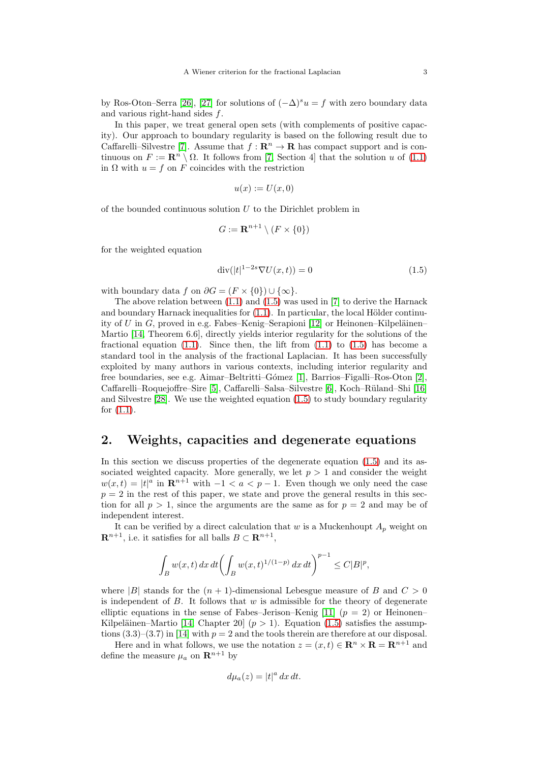by Ros-Oton–Serra [\[26\]](#page-10-15), [\[27\]](#page-10-16) for solutions of  $(-\Delta)^s u = f$  with zero boundary data and various right-hand sides  $f$ .

In this paper, we treat general open sets (with complements of positive capacity). Our approach to boundary regularity is based on the following result due to Caffarelli–Silvestre [\[7\]](#page-9-4). Assume that  $f: \mathbb{R}^n \to \mathbb{R}$  has compact support and is continuous on  $F := \mathbb{R}^n \setminus \Omega$ . It follows from [\[7,](#page-9-4) Section 4] that the solution u of [\(1.1\)](#page-0-0) in  $\Omega$  with  $u = f$  on F coincides with the restriction

$$
u(x) := U(x,0)
$$

of the bounded continuous solution U to the Dirichlet problem in

$$
G := \mathbf{R}^{n+1} \setminus (F \times \{0\})
$$

for the weighted equation

<span id="page-2-0"></span>
$$
\operatorname{div}(|t|^{1-2s}\nabla U(x,t)) = 0\tag{1.5}
$$

with boundary data f on  $\partial G = (F \times \{0\}) \cup \{\infty\}.$ 

The above relation between  $(1.1)$  and  $(1.5)$  was used in [\[7\]](#page-9-4) to derive the Harnack and boundary Harnack inequalities for  $(1.1)$ . In particular, the local Hölder continu-ity of U in G, proved in e.g. Fabes–Kenig–Serapioni [\[12\]](#page-10-17) or Heinonen–Kilpeläinen– Martio [\[14,](#page-10-8) Theorem 6.6], directly yields interior regularity for the solutions of the fractional equation  $(1.1)$ . Since then, the lift from  $(1.1)$  to  $(1.5)$  has become a standard tool in the analysis of the fractional Laplacian. It has been successfully exploited by many authors in various contexts, including interior regularity and free boundaries, see e.g. Aimar–Beltritti–Gómez  $|1|$ , Barrios–Figalli–Ros-Oton  $|2|$ , Caffarelli–Roquejoffre–Sire [\[5\]](#page-9-7), Caffarelli–Salsa–Silvestre [\[6\]](#page-9-8), Koch–Rüland–Shi [\[16\]](#page-10-18) and Silvestre [\[28\]](#page-10-19). We use the weighted equation [\(1.5\)](#page-2-0) to study boundary regularity for [\(1.1\)](#page-0-0).

### 2. Weights, capacities and degenerate equations

In this section we discuss properties of the degenerate equation [\(1.5\)](#page-2-0) and its associated weighted capacity. More generally, we let  $p > 1$  and consider the weight  $w(x,t) = |t|^a$  in  $\mathbb{R}^{n+1}$  with  $-1 < a < p-1$ . Even though we only need the case  $p = 2$  in the rest of this paper, we state and prove the general results in this section for all  $p > 1$ , since the arguments are the same as for  $p = 2$  and may be of independent interest.

It can be verified by a direct calculation that w is a Muckenhoupt  $A_p$  weight on  $\mathbf{R}^{n+1}$ , i.e. it satisfies for all balls  $B \subset \mathbf{R}^{n+1}$ ,

$$
\int_{B} w(x,t)\,dx\,dt \biggl(\int_{B} w(x,t)^{1/(1-p)}\,dx\,dt\biggr)^{p-1} \le C |B|^p,
$$

where |B| stands for the  $(n + 1)$ -dimensional Lebesgue measure of B and  $C > 0$ is independent of B. It follows that  $w$  is admissible for the theory of degenerate elliptic equations in the sense of Fabes–Jerison–Kenig [\[11\]](#page-10-7)  $(p = 2)$  or Heinonen– Kilpeläinen–Martio [\[14,](#page-10-8) Chapter 20]  $(p > 1)$ . Equation [\(1.5\)](#page-2-0) satisfies the assumptions  $(3.3)$ – $(3.7)$  in [\[14\]](#page-10-8) with  $p = 2$  and the tools therein are therefore at our disposal.

Here and in what follows, we use the notation  $z = (x, t) \in \mathbb{R}^n \times \mathbb{R} = \mathbb{R}^{n+1}$  and define the measure  $\mu_a$  on  $\mathbf{R}^{n+1}$  by

$$
d\mu_a(z) = |t|^a \, dx \, dt.
$$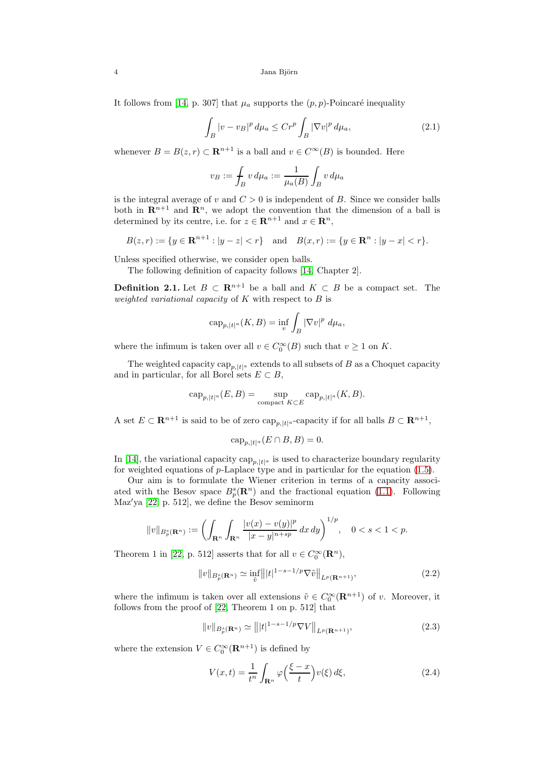4 Jana Björn

It follows from [\[14,](#page-10-8) p. 307] that  $\mu_a$  supports the  $(p, p)$ -Poincaré inequality

<span id="page-3-3"></span>
$$
\int_{B} |v - v_{B}|^{p} d\mu_{a} \leq Cr^{p} \int_{B} |\nabla v|^{p} d\mu_{a}, \qquad (2.1)
$$

whenever  $B = B(z, r) \subset \mathbb{R}^{n+1}$  is a ball and  $v \in C^{\infty}(B)$  is bounded. Here

$$
v_B := \int_B v \, d\mu_a := \frac{1}{\mu_a(B)} \int_B v \, d\mu_a
$$

is the integral average of v and  $C > 0$  is independent of B. Since we consider balls both in  $\mathbb{R}^{n+1}$  and  $\mathbb{R}^n$ , we adopt the convention that the dimension of a ball is determined by its centre, i.e. for  $z \in \mathbb{R}^{n+1}$  and  $x \in \mathbb{R}^n$ ,

$$
B(z,r) := \{ y \in \mathbf{R}^{n+1} : |y - z| < r \} \quad \text{and} \quad B(x,r) := \{ y \in \mathbf{R}^n : |y - x| < r \}.
$$

Unless specified otherwise, we consider open balls.

The following definition of capacity follows [\[14,](#page-10-8) Chapter 2].

<span id="page-3-4"></span>**Definition 2.1.** Let  $B \subset \mathbb{R}^{n+1}$  be a ball and  $K \subset B$  be a compact set. The weighted variational capacity of  $K$  with respect to  $B$  is

$$
\operatorname{cap}_{p,|t|^a}(K,B) = \inf_v \int_B |\nabla v|^p \ d\mu_a,
$$

where the infimum is taken over all  $v \in C_0^{\infty}(B)$  such that  $v \ge 1$  on K.

The weighted capacity  $\text{cap}_{p, |t|^a}$  extends to all subsets of B as a Choquet capacity and in particular, for all Borel sets  $E \subset B$ ,

$$
\mathrm{cap}_{p,|t|^a}(E,B)=\sup_{\mathrm{compact}\; K\subset E}\mathrm{cap}_{p,|t|^a}(K,B).
$$

A set  $E \subset \mathbf{R}^{n+1}$  is said to be of zero  $\text{cap}_{p, |t|^a}$ -capacity if for all balls  $B \subset \mathbf{R}^{n+1}$ ,

$$
\mathrm{cap}_{p,|t|^a}(E \cap B, B) = 0.
$$

In [\[14\]](#page-10-8), the variational capacity  $\text{cap}_{p, |t|^a}$  is used to characterize boundary regularity for weighted equations of  $p$ -Laplace type and in particular for the equation [\(1.5\)](#page-2-0).

Our aim is to formulate the Wiener criterion in terms of a capacity associated with the Besov space  $B_p^s(\mathbf{R}^n)$  and the fractional equation [\(1.1\)](#page-0-0). Following Maz′ya [\[22,](#page-10-20) p. 512], we define the Besov seminorm

$$
||v||_{B_p^s(\mathbf{R}^n)} := \left(\int_{\mathbf{R}^n} \int_{\mathbf{R}^n} \frac{|v(x) - v(y)|^p}{|x - y|^{n + sp}} \, dx \, dy\right)^{1/p}, \quad 0 < s < 1 < p.
$$

Theorem 1 in [\[22,](#page-10-20) p. 512] asserts that for all  $v \in C_0^{\infty}(\mathbf{R}^n)$ ,

<span id="page-3-0"></span>
$$
||v||_{B_p^s(\mathbf{R}^n)} \simeq \inf_{\tilde{v}} |||t|^{1-s-1/p} \nabla \tilde{v}||_{L^p(\mathbf{R}^{n+1})},\tag{2.2}
$$

where the infimum is taken over all extensions  $\tilde{v} \in C_0^{\infty}(\mathbf{R}^{n+1})$  of v. Moreover, it follows from the proof of [\[22,](#page-10-20) Theorem 1 on p. 512] that

<span id="page-3-1"></span>
$$
||v||_{B_p^s(\mathbf{R}^n)} \simeq |||t|^{1-s-1/p} \nabla V||_{L^p(\mathbf{R}^{n+1})},
$$
\n(2.3)

where the extension  $V \in C_0^{\infty}(\mathbf{R}^{n+1})$  is defined by

<span id="page-3-2"></span>
$$
V(x,t) = \frac{1}{t^n} \int_{\mathbf{R}^n} \varphi\left(\frac{\xi - x}{t}\right) v(\xi) d\xi,
$$
 (2.4)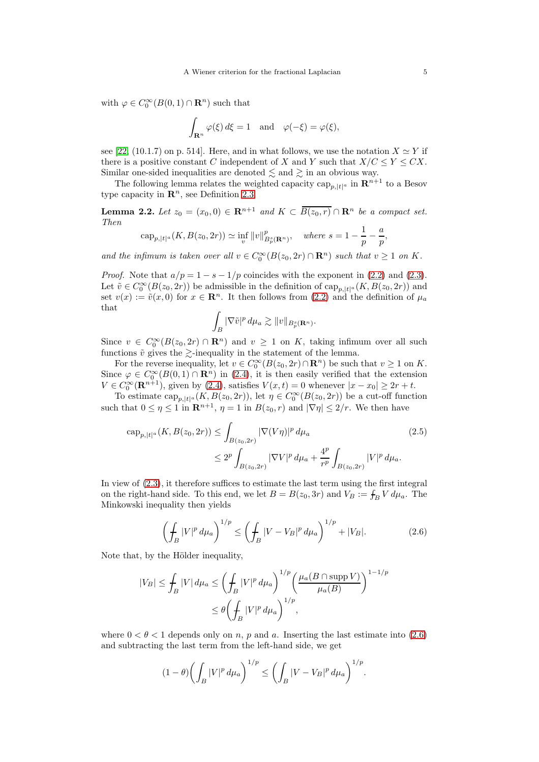with  $\varphi \in C_0^{\infty}(B(0, 1) \cap \mathbf{R}^n)$  such that

$$
\int_{\mathbf{R}^n} \varphi(\xi) d\xi = 1 \text{ and } \varphi(-\xi) = \varphi(\xi),
$$

see [\[22,](#page-10-20) (10.1.7) on p. 514]. Here, and in what follows, we use the notation  $X \simeq Y$  if there is a positive constant C independent of X and Y such that  $X/C \le Y \le CX$ . Similar one-sided inequalities are denoted  $\leq$  and  $\geq$  in an obvious way.

The following lemma relates the weighted capacity  $\text{cap}_{p, |t|^a}$  in  $\mathbb{R}^{n+1}$  to a Besov type capacity in  $\mathbb{R}^n$ , see Definition [2.3.](#page-5-0)

<span id="page-4-2"></span>**Lemma 2.2.** Let  $z_0 = (x_0, 0) \in \mathbb{R}^{n+1}$  and  $K \subset \overline{B(z_0, r)} \cap \mathbb{R}^n$  be a compact set. Then

$$
\mathrm{cap}_{p,|t|^a}(K, B(z_0, 2r)) \simeq \inf_v \|v\|_{B_p^s(\mathbf{R}^n)}^p, \quad \text{where } s = 1 - \frac{1}{p} - \frac{a}{p}
$$

and the infimum is taken over all  $v \in C_0^{\infty}(B(z_0, 2r) \cap \mathbb{R}^n)$  such that  $v \ge 1$  on K.

*Proof.* Note that  $a/p = 1 - s - 1/p$  coincides with the exponent in [\(2.2\)](#page-3-0) and [\(2.3\)](#page-3-1). Let  $\tilde{v} \in C_0^{\infty}(B(z_0, 2r))$  be admissible in the definition of  $\text{cap}_{p, |t|^a}(K, B(z_0, 2r))$  and set  $v(x) := \tilde{v}(x, 0)$  for  $x \in \mathbb{R}^n$ . It then follows from [\(2.2\)](#page-3-0) and the definition of  $\mu_a$ that

$$
\int_B |\nabla \tilde v|^p\, d\mu_a \gtrsim \|v\|_{B_p^s({\bf R}^n)}.
$$

Since  $v \in C_0^{\infty}(B(z_0, 2r) \cap \mathbf{R}^n)$  and  $v \ge 1$  on K, taking infimum over all such functions  $\tilde{v}$  gives the  $\gtrsim$ -inequality in the statement of the lemma.

For the reverse inequality, let  $v \in C_0^{\infty}(B(z_0, 2r) \cap \mathbb{R}^n)$  be such that  $v \ge 1$  on K. Since  $\varphi \in C_0^{\infty}(B(0,1) \cap \mathbf{R}^n)$  in [\(2.4\)](#page-3-2), it is then easily verified that the extension Since  $\varphi \in C_0^{\infty}(\mathbf{R}^{n+1})$ , given by [\(2.4\)](#page-3-2), satisfies  $V(x,t) = 0$  whenever  $|x - x_0| \ge 2r + t$ .

To estimate  $\text{cap}_{p,|t|^a}(K, B(z_0, 2r))$ , let  $\eta \in C_0^{\infty}(B(z_0, 2r))$  be a cut-off function such that  $0 \le \eta \le 1$  in  $\mathbb{R}^{n+1}$ ,  $\eta = 1$  in  $B(z_0, r)$  and  $|\nabla \eta| \le 2/r$ . We then have

$$
\text{cap}_{p,|t|^a}(K, B(z_0, 2r)) \le \int_{B(z_0, 2r)} |\nabla (V\eta)|^p \, d\mu_a
$$
\n
$$
\le 2^p \int_{B(z_0, 2r)} |\nabla V|^p \, d\mu_a + \frac{4^p}{r^p} \int_{B(z_0, 2r)} |V|^p \, d\mu_a.
$$
\n(2.5)

In view of [\(2.3\)](#page-3-1), it therefore suffices to estimate the last term using the first integral on the right-hand side. To this end, we let  $B = B(z_0, 3r)$  and  $V_B := \int_B V d\mu_a$ . The Minkowski inequality then yields

<span id="page-4-0"></span>
$$
\left(\int_{B} |V|^p \, d\mu_a\right)^{1/p} \le \left(\int_{B} |V - V_B|^p \, d\mu_a\right)^{1/p} + |V_B|. \tag{2.6}
$$

Note that, by the Hölder inequality,

$$
|V_B| \le \int_B |V| \, d\mu_a \le \left(\int_B |V|^p \, d\mu_a\right)^{1/p} \left(\frac{\mu_a(B \cap \operatorname{supp} V)}{\mu_a(B)}\right)^{1-1/p}
$$
  

$$
\le \theta \left(\int_B |V|^p \, d\mu_a\right)^{1/p},
$$

where  $0 < \theta < 1$  depends only on n, p and a. Inserting the last estimate into [\(2.6\)](#page-4-0) and subtracting the last term from the left-hand side, we get

$$
(1 - \theta) \left( \int_B |V|^p \, d\mu_a \right)^{1/p} \le \left( \int_B |V - V_B|^p \, d\mu_a \right)^{1/p}.
$$

<span id="page-4-1"></span>,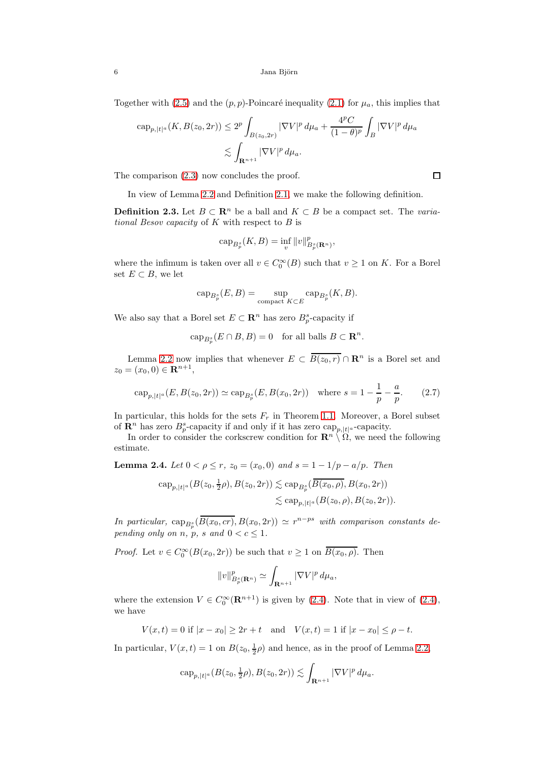Together with [\(2.5\)](#page-4-1) and the  $(p, p)$ -Poincaré inequality [\(2.1\)](#page-3-3) for  $\mu_a$ , this implies that

$$
\begin{aligned} \n\text{cap}_{p,|t|^a}(K, B(z_0, 2r)) &\le 2^p \int_{B(z_0, 2r)} |\nabla V|^p \, d\mu_a + \frac{4^p C}{(1 - \theta)^p} \int_B |\nabla V|^p \, d\mu_a \\ \n&\lesssim \int_{\mathbf{R}^{n+1}} |\nabla V|^p \, d\mu_a. \n\end{aligned}
$$

The comparison [\(2.3\)](#page-3-1) now concludes the proof.

In view of Lemma [2.2](#page-4-2) and Definition [2.1,](#page-3-4) we make the following definition.

<span id="page-5-0"></span>**Definition 2.3.** Let  $B \subset \mathbb{R}^n$  be a ball and  $K \subset B$  be a compact set. The variational Besov capacity of  $K$  with respect to  $B$  is

$$
\operatorname{cap}_{B_p^s}(K, B) = \inf_v \|v\|_{B_p^s(\mathbf{R}^n)}^p,
$$

where the infimum is taken over all  $v \in C_0^{\infty}(B)$  such that  $v \ge 1$  on K. For a Borel set  $E \subset B$ , we let

$$
\operatorname{cap}_{B_p^s}(E, B) = \sup_{\text{compact } K \subset E} \operatorname{cap}_{B_p^s}(K, B).
$$

We also say that a Borel set  $E \subset \mathbb{R}^n$  has zero  $B_p^s$ -capacity if

 $\text{cap}_{B_p^s}(E \cap B, B) = 0$  for all balls  $B \subset \mathbf{R}^n$ .

Lemma [2.2](#page-4-2) now implies that whenever  $E \subset \overline{B(z_0, r)} \cap \mathbb{R}^n$  is a Borel set and  $z_0 = (x_0, 0) \in \mathbf{R}^{n+1},$ 

<span id="page-5-2"></span>
$$
\operatorname{cap}_{p,|t|^a}(E, B(z_0, 2r)) \simeq \operatorname{cap}_{B_p^s}(E, B(x_0, 2r)) \quad \text{where } s = 1 - \frac{1}{p} - \frac{a}{p}.\tag{2.7}
$$

In particular, this holds for the sets  $F_r$  in Theorem [1.1.](#page-0-1) Moreover, a Borel subset of  $\mathbf{R}^n$  has zero  $B_p^s$ -capacity if and only if it has zero  $\text{cap}_{p,|t|^a}$ -capacity.

In order to consider the corkscrew condition for  $\mathbb{R}^n \setminus \Omega$ , we need the following estimate.

<span id="page-5-1"></span>**Lemma 2.4.** Let  $0 < \rho \le r$ ,  $z_0 = (x_0, 0)$  and  $s = 1 - 1/p - a/p$ . Then

$$
\text{cap}_{p,|t|^a}(B(z_0, \frac{1}{2}\rho), B(z_0, 2r)) \lesssim \text{cap}_{B_p^s}(\overline{B(x_0, \rho)}, B(x_0, 2r))
$$
  

$$
\lesssim \text{cap}_{p,|t|^a}(B(z_0, \rho), B(z_0, 2r)).
$$

In particular,  $\text{cap}_{B_p^s}(\overline{B(x_0, cr)}, B(x_0, 2r)) \simeq r^{n-ps}$  with comparison constants depending only on n, p, s and  $0 < c \leq 1$ .

*Proof.* Let  $v \in C_0^{\infty}(B(x_0, 2r))$  be such that  $v \ge 1$  on  $\overline{B(x_0, \rho)}$ . Then

$$
||v||_{B_p^s(\mathbf{R}^n)}^p \simeq \int_{\mathbf{R}^{n+1}} |\nabla V|^p d\mu_a,
$$

where the extension  $V \in C_0^{\infty}(\mathbf{R}^{n+1})$  is given by [\(2.4\)](#page-3-2). Note that in view of (2.4), we have

 $V(x,t) = 0$  if  $|x-x_0| > 2r + t$  and  $V(x,t) = 1$  if  $|x-x_0| < \rho - t$ .

In particular,  $V(x,t) = 1$  on  $B(z_0, \frac{1}{2}\rho)$  and hence, as in the proof of Lemma [2.2,](#page-4-2)

$$
\operatorname{cap}_{p,|t|^a}(B(z_0,\tfrac{1}{2}\rho),B(z_0,2r))\lesssim \int_{\mathbf{R}^{n+1}}|\nabla V|^p\,d\mu_a.
$$

$$
\Box
$$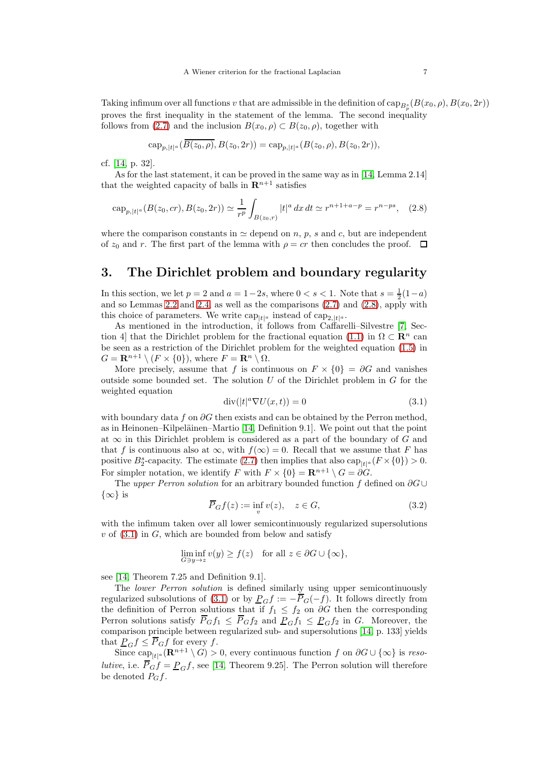Taking infimum over all functions v that are admissible in the definition of  $\text{cap}_{B_p^s}(B(x_0,\rho),B(x_0,2r))$ proves the first inequality in the statement of the lemma. The second inequality follows from [\(2.7\)](#page-5-2) and the inclusion  $B(x_0, \rho) \subset B(z_0, \rho)$ , together with

$$
\operatorname{cap}_{p,|t|^a}(B(z_0,\rho),B(z_0,2r))=\operatorname{cap}_{p,|t|^a}(B(z_0,\rho),B(z_0,2r)),
$$

cf. [\[14,](#page-10-8) p. 32].

As for the last statement, it can be proved in the same way as in [\[14,](#page-10-8) Lemma 2.14] that the weighted capacity of balls in  $\mathbb{R}^{n+1}$  satisfies

<span id="page-6-0"></span>
$$
\operatorname{cap}_{p,|t|^a}(B(z_0,cr),B(z_0,2r)) \simeq \frac{1}{r^p} \int_{B(z_0,r)} |t|^a \, dx \, dt \simeq r^{n+1+a-p} = r^{n-ps}, \quad (2.8)
$$

where the comparison constants in  $\simeq$  depend on n, p, s and c, but are independent of  $z_0$  and r. The first part of the lemma with  $\rho = cr$  then concludes the proof.  $\Box$ 

#### 3. The Dirichlet problem and boundary regularity

In this section, we let  $p = 2$  and  $a = 1-2s$ , where  $0 < s < 1$ . Note that  $s = \frac{1}{2}(1-a)$ and so Lemmas [2.2](#page-4-2) and [2.4,](#page-5-1) as well as the comparisons  $(2.7)$  and  $(2.8)$ , apply with this choice of parameters. We write  $\text{cap}_{|t|^a}$  instead of  $\text{cap}_{2,|t|^a}$ .

As mentioned in the introduction, it follows from Caffarelli–Silvestre [\[7,](#page-9-4) Sec-tion 4] that the Dirichlet problem for the fractional equation [\(1.1\)](#page-0-0) in  $\Omega \subset \mathbb{R}^n$  can be seen as a restriction of the Dirichlet problem for the weighted equation [\(1.5\)](#page-2-0) in  $G = \mathbf{R}^{n+1} \setminus (F \times \{0\}),$  where  $F = \mathbf{R}^n \setminus \Omega$ .

More precisely, assume that f is continuous on  $F \times \{0\} = \partial G$  and vanishes outside some bounded set. The solution  $U$  of the Dirichlet problem in  $G$  for the weighted equation

<span id="page-6-1"></span>
$$
\operatorname{div}(|t|^a \nabla U(x,t)) = 0 \tag{3.1}
$$

with boundary data f on  $\partial G$  then exists and can be obtained by the Perron method, as in Heinonen–Kilpeläinen–Martio  $[14,$  Definition 9.1. We point out that the point at  $\infty$  in this Dirichlet problem is considered as a part of the boundary of G and that f is continuous also at  $\infty$ , with  $f(\infty) = 0$ . Recall that we assume that F has positive  $B_2^s$ -capacity. The estimate [\(2.7\)](#page-5-2) then implies that also  $\text{cap}_{|t|^a}(F \times \{0\}) > 0$ . For simpler notation, we identify F with  $F \times \{0\} = \mathbb{R}^{n+1} \setminus G = \partial G$ .

The upper Perron solution for an arbitrary bounded function f defined on  $\partial G \cup$  $\{\infty\}$  is

<span id="page-6-2"></span>
$$
\overline{P}_G f(z) := \inf_v v(z), \quad z \in G,
$$
\n(3.2)

with the infimum taken over all lower semicontinuously regularized supersolutions  $v$  of  $(3.1)$  in G, which are bounded from below and satisfy

$$
\liminf_{G\ni y\to z}v(y)\geq f(z)\quad\text{for all }z\in\partial G\cup\{\infty\},
$$

see [\[14,](#page-10-8) Theorem 7.25 and Definition 9.1].

The lower Perron solution is defined similarly using upper semicontinuously regularized subsolutions of [\(3.1\)](#page-6-1) or by  $P_G f := -\overline{P}_G(-f)$ . It follows directly from the definition of Perron solutions that if  $f_1 \n\leq f_2$  on  $\partial G$  then the corresponding Perron solutions satisfy  $\overline{P}_G f_1 \leq \overline{P}_G f_2$  and  $P_G f_1 \leq P_G f_2$  in G. Moreover, the comparison principle between regularized sub- and supersolutions [\[14,](#page-10-8) p. 133] yields that  $P_G f \leq \overline{P}_G f$  for every f.

Since  $\text{cap}_{|t|^a}(\mathbf{R}^{n+1}\setminus G) > 0$ , every continuous function f on  $\partial G \cup \{\infty\}$  is resolutive, i.e.  $\overline{P}_G f = \underline{P}_G f$ , see [\[14,](#page-10-8) Theorem 9.25]. The Perron solution will therefore be denoted  $P_Gf$ .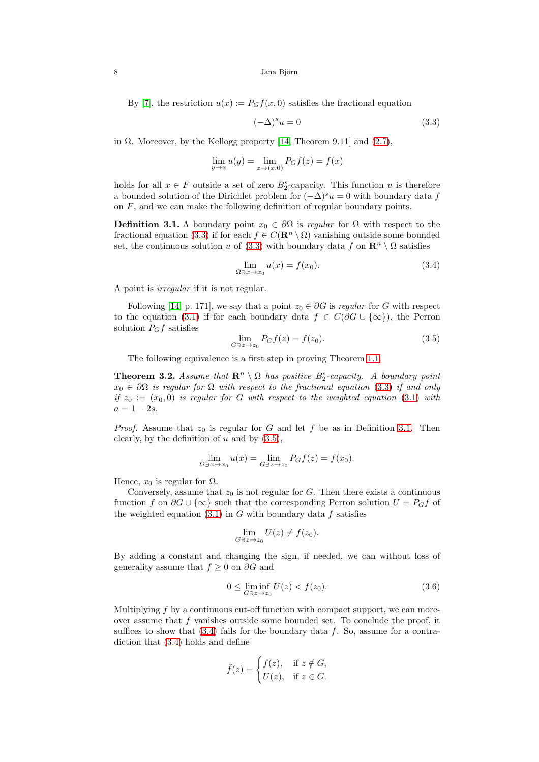8 Jana Björn

By [\[7\]](#page-9-4), the restriction  $u(x) := P_G f(x, 0)$  satisfies the fractional equation

<span id="page-7-0"></span>
$$
(-\Delta)^s u = 0 \tag{3.3}
$$

in  $\Omega$ . Moreover, by the Kellogg property [\[14,](#page-10-8) Theorem 9.11] and [\(2.7\)](#page-5-2),

$$
\lim_{y \to x} u(y) = \lim_{z \to (x,0)} P_G f(z) = f(x)
$$

holds for all  $x \in F$  outside a set of zero  $B_2^s$ -capacity. This function u is therefore a bounded solution of the Dirichlet problem for  $(-\Delta)^s u = 0$  with boundary data f on  $F$ , and we can make the following definition of regular boundary points.

<span id="page-7-1"></span>**Definition 3.1.** A boundary point  $x_0 \in \partial\Omega$  is regular for  $\Omega$  with respect to the fractional equation [\(3.3\)](#page-7-0) if for each  $f \in C(\mathbf{R}^n \setminus \Omega)$  vanishing outside some bounded set, the continuous solution u of [\(3.3\)](#page-7-0) with boundary data f on  $\mathbb{R}^n \setminus \Omega$  satisfies

<span id="page-7-3"></span>
$$
\lim_{\Omega \ni x \to x_0} u(x) = f(x_0). \tag{3.4}
$$

A point is irregular if it is not regular.

Following [\[14,](#page-10-8) p. 171], we say that a point  $z_0 \in \partial G$  is regular for G with respect to the equation [\(3.1\)](#page-6-1) if for each boundary data  $f \in C(\partial G \cup {\infty})$ , the Perron solution  $P_Gf$  satisfies

<span id="page-7-2"></span>
$$
\lim_{G \ni z \to z_0} P_G f(z) = f(z_0). \tag{3.5}
$$

The following equivalence is a first step in proving Theorem [1.1.](#page-0-1)

<span id="page-7-5"></span>**Theorem 3.2.** Assume that  $\mathbb{R}^n \setminus \Omega$  has positive  $B_2^s$ -capacity. A boundary point  $x_0 \in \partial\Omega$  is regular for  $\Omega$  with respect to the fractional equation [\(3.3\)](#page-7-0) if and only if  $z_0 := (x_0, 0)$  is regular for G with respect to the weighted equation [\(3.1\)](#page-6-1) with  $a = 1 - 2s$ .

*Proof.* Assume that  $z_0$  is regular for G and let f be as in Definition [3.1.](#page-7-1) Then clearly, by the definition of  $u$  and by  $(3.5)$ ,

$$
\lim_{\Omega \ni x \to x_0} u(x) = \lim_{G \ni z \to z_0} P_G f(z) = f(x_0).
$$

Hence,  $x_0$  is regular for  $\Omega$ .

Conversely, assume that  $z_0$  is not regular for G. Then there exists a continuous function f on  $\partial G \cup {\infty}$  such that the corresponding Perron solution  $U = P_G f$  of the weighted equation  $(3.1)$  in G with boundary data f satisfies

$$
\lim_{G\ni z\to z_0}U(z)\neq f(z_0).
$$

By adding a constant and changing the sign, if needed, we can without loss of generality assume that  $f \geq 0$  on  $\partial G$  and

<span id="page-7-4"></span>
$$
0 \le \liminf_{G \ni z \to z_0} U(z) < f(z_0). \tag{3.6}
$$

Multiplying  $f$  by a continuous cut-off function with compact support, we can moreover assume that  $f$  vanishes outside some bounded set. To conclude the proof, it suffices to show that  $(3.4)$  fails for the boundary data f. So, assume for a contradiction that [\(3.4\)](#page-7-3) holds and define

$$
\tilde{f}(z) = \begin{cases} f(z), & \text{if } z \notin G, \\ U(z), & \text{if } z \in G. \end{cases}
$$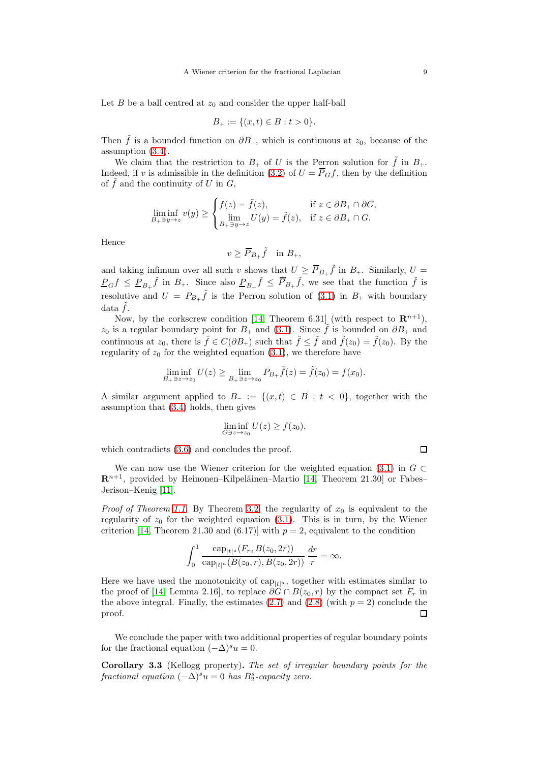Let  $B$  be a ball centred at  $z_0$  and consider the upper half-ball

$$
B_+ := \{(x, t) \in B : t > 0\}.
$$

Then  $\tilde{f}$  is a bounded function on  $\partial B_+$ , which is continuous at  $z_0$ , because of the assumption [\(3.4\)](#page-7-3).

We claim that the restriction to  $B_+$  of U is the Perron solution for  $\tilde{f}$  in  $B_+$ . Indeed, if v is admissible in the definition [\(3.2\)](#page-6-2) of  $U = \overline{P}_G f$ , then by the definition of  $\tilde{f}$  and the continuity of U in G,

$$
\liminf_{B_{+}\ni y\to z} v(y) \ge \begin{cases} f(z) = \tilde{f}(z), & \text{if } z \in \partial B_{+} \cap \partial G, \\ \lim_{B_{+}\ni y\to z} U(y) = \tilde{f}(z), & \text{if } z \in \partial B_{+} \cap G. \end{cases}
$$

Hence

$$
v \ge \overline{P}_{B_+} \tilde{f} \quad \text{in } B_+,
$$

and taking infimum over all such v shows that  $U \geq \overline{P}_{B_{+}}\tilde{f}$  in  $B_{+}$ . Similarly,  $U =$  $P_G f \leq P_{B_+} \tilde{f}$  in  $B_+$ . Since also  $P_{B_+} \tilde{f} \leq \overline{P}_{B_+} \tilde{f}$ , we see that the function  $\tilde{f}$  is resolutive and  $U = P_{B_+} \tilde{f}$  is the Perron solution of [\(3.1\)](#page-6-1) in  $B_+$  with boundary data  $\tilde{f}$ .

Now, by the corkscrew condition [\[14,](#page-10-8) Theorem 6.31] (with respect to  $\mathbb{R}^{n+1}$ ),  $z_0$  is a regular boundary point for  $B_+$  and [\(3.1\)](#page-6-1). Since  $\tilde{f}$  is bounded on  $\partial B_+$  and continuous at  $z_0$ , there is  $\hat{f} \in C(\partial B_+)$  such that  $\hat{f} \leq \tilde{f}$  and  $\hat{f}(z_0) = \tilde{f}(z_0)$ . By the regularity of  $z_0$  for the weighted equation [\(3.1\)](#page-6-1), we therefore have

$$
\liminf_{B_{+}\ni z\to z_{0}} U(z) \ge \lim_{B_{+}\ni z\to z_{0}} P_{B_{+}} \hat{f}(z) = \tilde{f}(z_{0}) = f(x_{0}).
$$

A similar argument applied to  $B_-\coloneqq \{(x,t)\in B : t < 0\}$ , together with the assumption that [\(3.4\)](#page-7-3) holds, then gives

$$
\liminf_{G\ni z\to z_0}U(z)\geq f(z_0),
$$

which contradicts [\(3.6\)](#page-7-4) and concludes the proof.

We can now use the Wiener criterion for the weighted equation [\(3.1\)](#page-6-1) in  $G \subset$  $\mathbb{R}^{n+1}$ , provided by Heinonen–Kilpeläinen–Martio [\[14,](#page-10-8) Theorem 21.30] or Fabes– Jerison–Kenig [\[11\]](#page-10-7).

*Proof of Theorem [1.1.](#page-0-1)* By Theorem [3.2,](#page-7-5) the regularity of  $x_0$  is equivalent to the regularity of  $z_0$  for the weighted equation [\(3.1\)](#page-6-1). This is in turn, by the Wiener criterion [\[14,](#page-10-8) Theorem 21.30 and (6.17)] with  $p = 2$ , equivalent to the condition

$$
\int_0^1 \frac{\text{cap}_{|t|^a}(F_r, B(z_0, 2r))}{\text{cap}_{|t|^a}(B(z_0, r), B(z_0, 2r))} \frac{dr}{r} = \infty.
$$

Here we have used the monotonicity of  $cap_{t|t|a}$ , together with estimates similar to the proof of [\[14,](#page-10-8) Lemma 2.16], to replace  $\partial G \cap B(z_0, r)$  by the compact set  $F_r$  in the above integral. Finally, the estimates  $(2.7)$  and  $(2.8)$  (with  $p = 2$ ) conclude the proof. П

We conclude the paper with two additional properties of regular boundary points for the fractional equation  $(-\Delta)^s u = 0$ .

Corollary 3.3 (Kellogg property). The set of irregular boundary points for the fractional equation  $(-\Delta)^s u = 0$  has  $B_2^s$ -capacity zero.

 $\Box$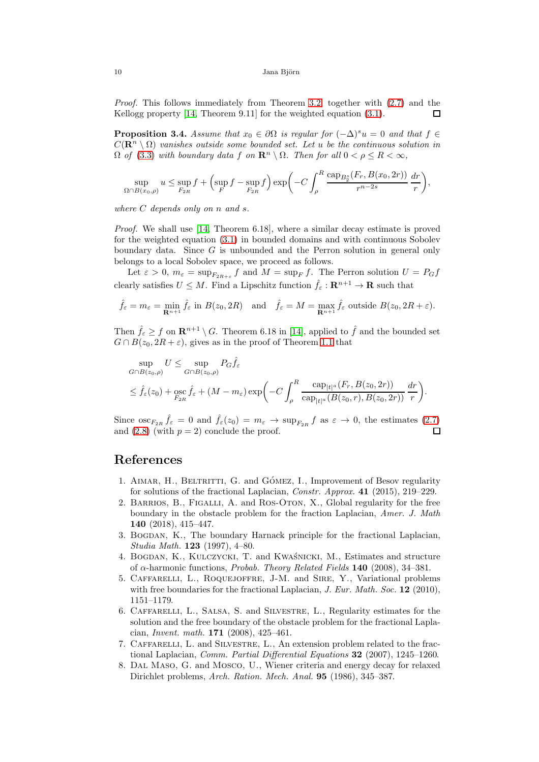Proof. This follows immediately from Theorem [3.2,](#page-7-5) together with  $(2.7)$  and the Kellogg property [\[14,](#page-10-8) Theorem 9.11] for the weighted equation [\(3.1\)](#page-6-1).  $\Box$ 

<span id="page-9-0"></span>**Proposition 3.4.** Assume that  $x_0 \in \partial\Omega$  is regular for  $(-\Delta)^s u = 0$  and that  $f \in$  $C(\mathbf{R}^n \setminus \Omega)$  vanishes outside some bounded set. Let u be the continuous solution in  $\Omega$  of [\(3.3\)](#page-7-0) with boundary data f on  $\mathbb{R}^n \setminus \Omega$ . Then for all  $0 < \rho \le R < \infty$ ,

$$
\sup_{\Omega \cap B(x_0,\rho)} u \le \sup_{F_{2R}} f + \left(\sup_F f - \sup_{F_{2R}} f\right) \exp\left(-C \int_{\rho}^R \frac{\text{cap}_{B_2^s}(F_r, B(x_0, 2r))}{r^{n-2s}} \frac{dr}{r}\right),\,
$$

where  $C$  depends only on  $n$  and  $s$ .

Proof. We shall use [\[14,](#page-10-8) Theorem 6.18], where a similar decay estimate is proved for the weighted equation [\(3.1\)](#page-6-1) in bounded domains and with continuous Sobolev boundary data. Since G is unbounded and the Perron solution in general only belongs to a local Sobolev space, we proceed as follows.

Let  $\varepsilon > 0$ ,  $m_{\varepsilon} = \sup_{F_{2R+\varepsilon}} f$  and  $M = \sup_{F} f$ . The Perron solution  $U = P_G f$ clearly satisfies  $U \leq M$ . Find a Lipschitz function  $\hat{f}_{\varepsilon}: \mathbf{R}^{n+1} \to \mathbf{R}$  such that

$$
\hat{f}_{\varepsilon} = m_{\varepsilon} = \min_{\mathbf{R}^{n+1}} \hat{f}_{\varepsilon} \text{ in } B(z_0, 2R) \quad \text{and} \quad \hat{f}_{\varepsilon} = M = \max_{\mathbf{R}^{n+1}} \hat{f}_{\varepsilon} \text{ outside } B(z_0, 2R + \varepsilon).
$$

Then  $\hat{f}_{\varepsilon} \geq f$  on  $\mathbb{R}^{n+1} \setminus G$ . Theorem 6.18 in [\[14\]](#page-10-8), applied to  $\hat{f}$  and the bounded set  $G \cap B(z_0, 2R + \varepsilon)$ , gives as in the proof of Theorem [1.1](#page-0-1) that

$$
\sup_{G \cap B(z_0, \rho)} U \le \sup_{G \cap B(z_0, \rho)} P_G \hat{f}_{\varepsilon}
$$
\n
$$
\le \hat{f}_{\varepsilon}(z_0) + \operatorname*{osc}_{F_{2R}} \hat{f}_{\varepsilon} + (M - m_{\varepsilon}) \exp\left(-C \int_{\rho}^R \frac{\operatorname*{cap}_{|t|^a}(F_r, B(z_0, 2r))}{\operatorname*{cap}_{|t|^a}(B(z_0, r), B(z_0, 2r))} \frac{dr}{r}\right).
$$

Since  $\operatorname{osc}_{F_{2R}} \hat{f}_{\varepsilon} = 0$  and  $\hat{f}_{\varepsilon}(z_0) = m_{\varepsilon} \to \operatorname{sup}_{F_{2R}} f$  as  $\varepsilon \to 0$ , the estimates  $(2.7)$ and  $(2.8)$  (with  $p = 2$ ) conclude the proof. П

# <span id="page-9-5"></span>References

- 1. AIMAR, H., BELTRITTI, G. and GÓMEZ, I., Improvement of Besov regularity for solutions of the fractional Laplacian, Constr. Approx. 41 (2015), 219–229.
- <span id="page-9-6"></span>2. Barrios, B., Figalli, A. and Ros-Oton, X., Global regularity for the free boundary in the obstacle problem for the fraction Laplacian, Amer. J. Math 140 (2018), 415–447.
- <span id="page-9-2"></span>3. Bogdan, K., The boundary Harnack principle for the fractional Laplacian, Studia Math. 123 (1997), 4–80.
- <span id="page-9-3"></span>4. BOGDAN, K., KULCZYCKI, T. and KWAŚNICKI, M., Estimates and structure of  $\alpha$ -harmonic functions, Probab. Theory Related Fields 140 (2008), 34–381.
- <span id="page-9-7"></span>5. Caffarelli, L., Roquejoffre, J-M. and Sire, Y., Variational problems with free boundaries for the fractional Laplacian, J. Eur. Math. Soc. 12 (2010), 1151–1179.
- <span id="page-9-8"></span>6. Caffarelli, L., Salsa, S. and Silvestre, L., Regularity estimates for the solution and the free boundary of the obstacle problem for the fractional Laplacian, Invent. math. 171 (2008), 425–461.
- <span id="page-9-4"></span>7. Caffarelli, L. and Silvestre, L., An extension problem related to the fractional Laplacian, Comm. Partial Differential Equations 32 (2007), 1245–1260.
- <span id="page-9-1"></span>8. Dal Maso, G. and Mosco, U., Wiener criteria and energy decay for relaxed Dirichlet problems, Arch. Ration. Mech. Anal. 95 (1986), 345–387.